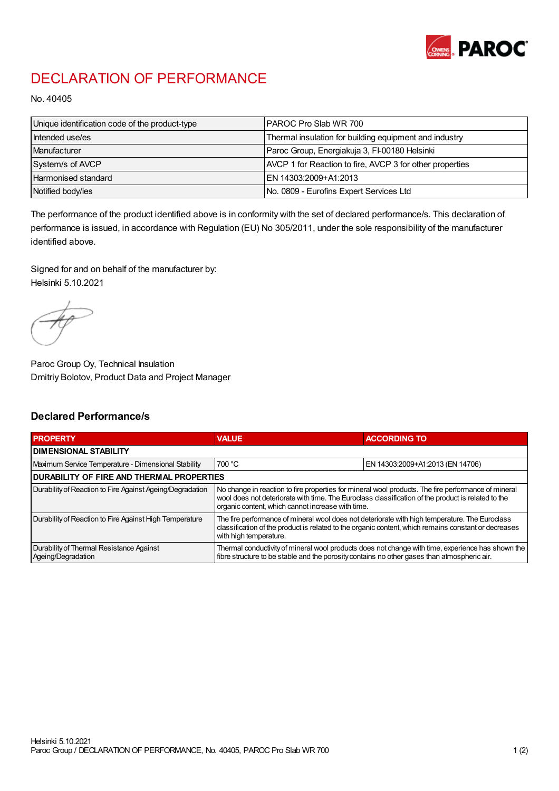

## DECLARATION OF PERFORMANCE

No. 40405

| Unique identification code of the product-type | IPAROC Pro Slab WR 700                                   |
|------------------------------------------------|----------------------------------------------------------|
| Intended use/es                                | Thermal insulation for building equipment and industry   |
| Manufacturer                                   | Paroc Group, Energiakuja 3, FI-00180 Helsinki            |
| System/s of AVCP                               | AVCP 1 for Reaction to fire, AVCP 3 for other properties |
| Harmonised standard                            | IEN 14303:2009+A1:2013                                   |
| Notified body/ies                              | No. 0809 - Eurofins Expert Services Ltd                  |

The performance of the product identified above is in conformity with the set of declared performance/s. This declaration of performance is issued, in accordance with Regulation (EU) No 305/2011, under the sole responsibility of the manufacturer identified above.

Signed for and on behalf of the manufacturer by: Helsinki 5.10.2021

Paroc Group Oy, Technical Insulation Dmitriy Bolotov, Product Data and Project Manager

## Declared Performance/s

| <b>PROPERTY</b>                                                | <b>VALUE</b>                                                                                                                                                                                                                                                   | <b>ACCORDING TO.</b>             |  |  |
|----------------------------------------------------------------|----------------------------------------------------------------------------------------------------------------------------------------------------------------------------------------------------------------------------------------------------------------|----------------------------------|--|--|
| <b>DIMENSIONAL STABILITY</b>                                   |                                                                                                                                                                                                                                                                |                                  |  |  |
| Maximum Service Temperature - Dimensional Stability            | 700 °C                                                                                                                                                                                                                                                         | EN 14303:2009+A1:2013 (EN 14706) |  |  |
| <b>DURABILITY OF FIRE AND THERMAL PROPERTIES</b>               |                                                                                                                                                                                                                                                                |                                  |  |  |
| Durability of Reaction to Fire Against Ageing/Degradation      | No change in reaction to fire properties for mineral wool products. The fire performance of mineral<br>wool does not deteriorate with time. The Euroclass classification of the product is related to the<br>organic content, which cannot increase with time. |                                  |  |  |
| Durability of Reaction to Fire Against High Temperature        | The fire performance of mineral wool does not deteriorate with high temperature. The Euroclass<br>classification of the product is related to the organic content, which remains constant or decreases<br>with high temperature.                               |                                  |  |  |
| Durability of Thermal Resistance Against<br>Ageing/Degradation | Thermal conductivity of mineral wool products does not change with time, experience has shown the<br>fibre structure to be stable and the porosity contains no other gases than atmospheric air.                                                               |                                  |  |  |